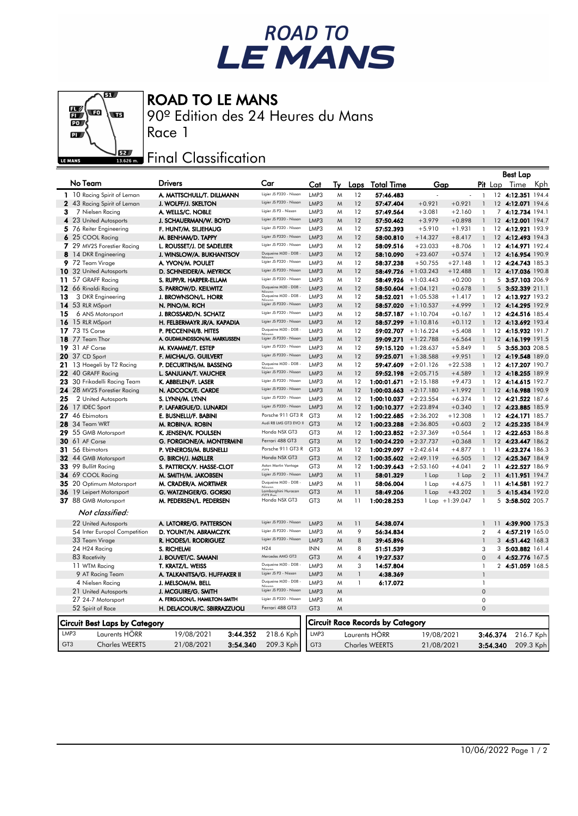## ROAD TO<br>LE MANS

## ROAD TO LE MANS

90º Edition des 24 Heures du Mans



## **EZAR** Final Classification

|                 |                                          |                                           |                                                 |                         |        |                |                                         |                            |                       |                              |                | Best Lap                         |           |
|-----------------|------------------------------------------|-------------------------------------------|-------------------------------------------------|-------------------------|--------|----------------|-----------------------------------------|----------------------------|-----------------------|------------------------------|----------------|----------------------------------|-----------|
| No Team         |                                          | <b>Drivers</b>                            | Car                                             | Cat                     | Tv     | Laps           | <u>Total Time</u>                       | Gap                        |                       |                              | <b>Pit</b> Lap | Time                             | Kph       |
|                 | 1 10 Racing Spirit of Leman              | A. MATTSCHULL/T. DILLMANN                 | Ligier JS P320 - Nissan                         | LMP3                    | M      | 12             | 57:46.483                               |                            |                       | $\mathbf{1}$                 |                | 12 4:12.351                      | 194.4     |
|                 | 2 43 Racing Spirit of Leman              | J. WOLFF/J. SKELTON                       | Ligier JS P320 - Nissan                         | LMP3                    | M      | 12             | 57:47.404                               | $+0.921$                   | $+0.921$              | $\overline{1}$               |                | 12 4:12.071 194.6                |           |
| з               | 7 Nielsen Racing                         | A. WELLS/C. NOBLE                         | Ligier JS P3 - Nissan                           | LMP3                    | M      | 12             | 57:49.564                               | $+3.081$                   | $+2.160$              | $\mathbf{1}$                 |                | 7 4:12.734 194.1                 |           |
|                 | 4 23 United Autosports                   | J. SCHAUERMAN/W. BOYD                     | Ligier JS P320 - Nissan                         | LMP3                    | M      | 12             | 57:50.462                               | $+3.979$                   | $+0.898$              | $\mathbf{1}$                 |                | 12 4:12.001 194.7                |           |
|                 | 5 76 Reiter Engineering                  | F. HUNT/M. SILJEHAUG                      | Ligier JS P320 - Nissan                         | LMP3                    | M      | 12             | 57:52.393                               | $+5.910$                   | $+1.931$              | $\mathbf{1}$                 |                | 12 4:12.921 193.9                |           |
|                 | 6 25 COOL Racing                         | M. BENHAM/D. TAPPY                        | Ligier JS P320 - Nissan                         | LMP3                    | Μ      | 12             | 58:00.810                               | $+14.327$                  | $+8.417$              |                              |                | 12 4:12.493 194.3                |           |
|                 | 7 29 MV2S Forestier Racing               | L. ROUSSET/J. DE SADELEER                 | Ligier JS P320 - Nissan                         | LMP3                    | M      | 12             | 58:09.516                               | $+23.033$                  | $+8.706$              | 1                            |                | 12 4:14.971 192.4                |           |
|                 | <b>8</b> 14 DKR Engineering              | J. WINSLOW/A. BUKHANTSOV                  | Duqueine M30 - D08 -                            | LMP3                    | M      | 12             | 58:10.090                               | $+23.607$                  | $+0.574$              | $\mathbf{1}$                 |                | 12 4:16.954 190.9                |           |
|                 | $9\,72$ Team Virage                      | A. YVON/M. POULET                         | Ligier JS P320 - Nissan                         | LMP3                    | M      | 12             | 58:37.238                               | $+50.755$                  | $+27.148$             | $\mathbf{1}$                 |                | 12 4:24.743 185.3                |           |
|                 | 10 32 United Autosports                  | D. SCHNEIDER/A. MEYRICK                   | Ligier JS P320 - Nissan                         | LMP3                    | W      | 12             | 58:49.726                               | $+1:03.243$                | $+12.488$             | $\mathbf{1}$                 |                | 12 4:17.036 190.8                |           |
|                 | 11 57 GRAFF Racing                       | S. RUPP/R. HARPER-ELLAM                   | Ligier JS P320 - Nissan                         | LMP3                    | M      | 12             | 58:49.926                               | $+1:03.443$                | $+0.200$              | $\mathbf{1}$                 | 5              | 3:57.103 206.9                   |           |
|                 | 12 66 Rinaldi Racing                     | S. PARROW/D. KEILWITZ                     | Duqueine M30 - D08 -                            | LMP3                    | M      | 12             |                                         | $58:50.604$ +1:04.121      | $+0.678$              | $\mathbf{1}$                 | 5              | 3:52.339 211.1                   |           |
| 13              | 3 DKR Engineering                        | J. BROWNSON/L. HORR                       | Duqueine M30 - D08 -                            | LMP3                    | M      | 12             | 58:52.021                               | $+1:05.538$                | $+1.417$              | 1                            |                | 12 4:13.927 193.2                |           |
|                 | 14 53 RLR MSport                         | N. PINO/M. RICH                           | Ligier JS P320 - Nissan                         | LMP3                    | M      | 12             | 58:57.020                               | $+1:10.537$                | $+4.999$              | $\mathbf{1}$                 | $12 \,$        | 4:14.295 192.9                   |           |
| 15              | 6 ANS Motorsport                         | J. BROSSARD/N. SCHATZ                     | Ligier JS P320 - Nissan                         | LMP3                    | M      | 12             |                                         | $58:57.187 + 1:10.704$     | $+0.167$              | $\mathbf{1}$                 |                | 12 4:24.516 185.4                |           |
|                 | 16 15 RLR MSport                         | H. FELBERMAYR JR/A. KAPADIA               | Ligier JS P320 - Nissan                         | LMP3                    | Μ      | 12             | 58:57.299                               | $+1:10.816$                | $+0.112$              | $\mathbf{1}$                 |                | 12 4:13.692 193.4                |           |
| 17              | 73 TS Corse                              | P. PECCENINI/B. HITES                     | Duqueine M30 - D08 -                            | LMP3                    | M      | 12             | 59:02.707                               | $+1:16.224$                | $+5.408$              | 1                            | 12             | 4:15.932 191.7                   |           |
|                 | <b>18</b> 77 Team Thor                   | A. GUDMUNDSSON/M. MARKUSSEN               | Ligier JS P320 - Nissan                         | LMP3                    | M      | 12             | 59:09.271                               | $+1:22.788$                | $+6.564$              | $\mathbf{1}$                 |                | 12 4:16.199 191.5                |           |
|                 | <b>19</b> 31 AF Corse                    | M. KVAMME/T. ESTEP                        | Ligier JS P320 - Nissan                         | LMP3                    | M      | 12             | 59:15.120                               | $+1:28.637$                | $+5.849$              | $\mathbf{1}$                 |                | 5 3:55.303 208.5                 |           |
|                 | 20 37 CD Sport                           | F. MICHAL/G. GUILVERT                     | Ligier JS P320 - Nissan                         | LMP3                    | W      | 12             | 59:25.071                               | $+1:38.588$                | $+9.951$              | $\mathbf{1}$                 | 12             | 4:19.548 189.0                   |           |
| 21              | 13 Haegeli by T2 Racing                  | P. DECURTINS/M. BASSENG                   | Duqueine M30 - D08 -<br>Ligier JS P320 - Nissan | LMP3                    | M      | 12             | 59:47.609                               | $+2:01.126$                | $+22.538$             | $\mathbf{1}$                 |                | 12 4:17.207 190.7                |           |
|                 | 22 40 GRAFF Racing                       | L. SANJUAN/T. VAUCHER                     | Ligier JS P320 - Nissan                         | LMP3                    | M      | 12             | 59:52.198                               | $+2:05.715$                | $+4.589$              | $\mathbf{1}$                 |                | 12 4:18.255 189.9                |           |
| 23.             | 30 Frikadelli Racing Team                | K. ABBELEN/F. LASER                       | Ligier JS P320 - Nissan                         | LMP3                    | M      | 12             | 1:00:01.671                             | $+2:15.188$                | $+9.473$              | $\mathbf{1}$                 |                | 12 4:14.615 192.7                |           |
|                 | 24 28 MV2S Forestier Racing              | N. ADCOCK/E. CARDE                        | Ligier JS P320 - Nissan                         | LMP3                    | M      | 12             | 1:00:03.663                             | $+2:17.180$                | $+1.992$              |                              |                | 12 4:16.988 190.9                |           |
| 25              | 2 United Autosports                      | S. LYNN/M. LYNN                           | Ligier JS P320 - Nissan                         | LMP3                    | M      | 12<br>12       | $1:00:10.037 + 2:23.554$                |                            | $+6.374$              | $\mathbf{1}$<br>$\mathbf{1}$ |                | 12 4:21.522 187.6                |           |
|                 | 26 17 IDEC Sport                         | P. LAFARGUE/D. LUNARDI                    | Porsche 911 GT3 R                               | LMP3<br>GT <sub>3</sub> | W      | 12             | $1:00:10.377 + 2:23.894$                |                            | $+0.340$              |                              |                | 12 4:23.885 185.9                |           |
|                 | 27 46 Ebimotors<br><b>28</b> 34 Team WRT | E. BUSNELLI/F. BABINI                     | Audi R8 LMS GT3 EVO II                          | GT <sub>3</sub>         | M<br>M | 12             | 1:00:22.685<br>1:00:23.288              | $+2:36.202$<br>$+2:36.805$ | $+12.308$<br>$+0.603$ | 1<br>2                       |                | 12 4:24.171<br>12 4:25.235 184.9 | 185.7     |
|                 | 29 55 GMB Motorsport                     | M. ROBIN/A. ROBIN<br>K. JENSEN/K. POULSEN | Honda NSX GT3                                   | GT <sub>3</sub>         | M      | 12             | 1:00:23.852                             | $+2:37.369$                | $+0.564$              | $\mathbf{1}$                 |                | 12 4:22.653 186.8                |           |
|                 | <b>30</b> 61 AF Corse                    | G. FORGIONE/A. MONTERMINI                 | Ferrari 488 GT3                                 | GT <sub>3</sub>         | M      | 12             | 1:00:24.220                             | $+2:37.737$                | $+0.368$              | $\mathbf{1}$                 |                | 12 4:23.447 186.2                |           |
|                 | 31 56 Ebimotors                          | P. VENEROSI/M. BUSNELLI                   | Porsche 911 GT3 R                               | GT <sub>3</sub>         | M      | 12             | 1:00:29.097 $+2:42.614$                 |                            | $+4.877$              | $\mathbf{1}$                 | 11             | 4:23.274 186.3                   |           |
|                 | 32 44 GMB Motorsport                     | G. BIRCH/J. MØLLER                        | Honda NSX GT3                                   | GT <sub>3</sub>         | M      | 12             | 1:00:35.602                             | $+2:49.119$                | $+6.505$              | $\mathbf{1}$                 |                | 12 4:25.367 184.9                |           |
|                 | 33 99 Bullitt Racing                     | S. PATTRICK/V. HASSE-CLOT                 | Aston Martin Vantage<br>GT3                     | GT <sub>3</sub>         | M      | 12             | 1:00:39.643                             | $+2:53.160$                | $+4.041$              | $\overline{2}$               | 11             | 4:22.527 186.9                   |           |
|                 | 34 69 COOL Racing                        | M. SMITH/M. JAKOBSEN                      | Ligier JS P320 - Nissan                         | LMP3                    | W      | 11             | 58:01.329                               | 1 Lap                      | $1$ Lap               | $\overline{2}$               |                | 11 4:11.951 194.7                |           |
|                 | 35 20 Optimum Motorsport                 | M. CRADER/A. MORTIMER                     | Duqueine M30 - D08 -                            | LMP3                    | M      | 11             | 58:06.004                               | 1 Lap                      | $+4.675$              | $\mathbf{1}$                 | 11             | 4:14.581 192.7                   |           |
|                 | 36 19 Leipert Motorsport                 | G. WATZINGER/G. GORSKI                    | Lamborghini Huracan<br>GT3 Fun                  | GT <sub>3</sub>         | M      | 11             | 58:49.206                               | $1$ Lap                    | $+43.202$             | $\overline{1}$               | 5              | 4:15.434 192.0                   |           |
|                 | 37 88 GMB Motorsport                     | M. PEDERSEN/L. PEDERSEN                   | Honda NSX GT3                                   | GT <sub>3</sub>         | M      | 11             | 1:00:28.253                             |                            | $1$ Lap $+1:39.047$   | 1                            | 5              | 3:58.502 205.7                   |           |
|                 | Not classified:                          |                                           |                                                 |                         |        |                |                                         |                            |                       |                              |                |                                  |           |
|                 | 22 United Autosports                     | A. LATORRE/G. PATTERSON                   | Ligier JS P320 - Nissan                         | LMP3                    | W      | 11             | 54:38.074                               |                            |                       | $\mathbf{1}$                 |                | 11 4:39.900 175.3                |           |
|                 | 54 Inter Europol Competition             | D. YOUNT/N. ABRAMCZYK                     | Ligier JS P320 - Nissan                         | LMP3                    | M      | 9              | 56:34.834                               |                            |                       | $\overline{2}$               |                | 4 4:57.219 165.0                 |           |
|                 | 33 Team Virage                           | R. HODES/I. RODRIGUEZ                     | Ligier JS P320 - Nissan                         | LMP3                    | M      | 8              | 39:45.896                               |                            |                       | $\overline{1}$               |                | 3 4:51.442 168.3                 |           |
|                 | 24 H24 Racing                            | S. RICHELMI                               | H <sub>24</sub>                                 | <b>INN</b>              | M      | 8              | 51:51.539                               |                            |                       | 3                            |                | 3 5:03.882 161.4                 |           |
|                 | 83 Racetivity                            | J. BOUVET/C. SAMANI                       | Mercedes AMG GT3                                | GT <sub>3</sub>         | M      | $\overline{4}$ | 19:27.537                               |                            |                       | $\Omega$                     |                | 4 4:52.776 167.5                 |           |
|                 | 11 WTM Racing                            | T. KRATZ/L. WEISS                         | Duqueine M30 - D08                              | LMP3                    | M      | 3              | 14:57.804                               |                            |                       | $\mathbf{1}$                 |                | 2 4:51.059 168.5                 |           |
|                 | 9 AT Racing Team                         | A. TALKANITSA/G. HUFFAKER II              | Ligier JS P3 - Nissan                           | LMP3                    | W      | $\mathbf{1}$   | 4:38.369                                |                            |                       | $\mathbf{1}$                 |                |                                  |           |
|                 | 4 Nielsen Racing                         | J. MELSOM/M. BELL                         | Duqueine M30 - D08 -                            | LMP3                    | M      | $\mathbf{1}$   | 6:17.072                                |                            |                       | $\mathbf{1}$                 |                |                                  |           |
|                 | 21 United Autosports                     | J. MCGUIRE/G. SMITH                       | Ligier JS P320 - Nissan                         | LMP3                    | W      |                |                                         |                            |                       | $\mathbf{0}$                 |                |                                  |           |
|                 | 27 24-7 Motorsport                       | A. FERGUSON/L. HAMILTON-SMITH             | Ligier JS P320 - Nissan                         | LMP3                    | M      |                |                                         |                            |                       | $\mathsf{O}\xspace$          |                |                                  |           |
|                 | 52 Spirit of Race                        | H. DELACOUR/C. SBIRRAZZUOLI               | Ferrari 488 GT3                                 | GT <sub>3</sub>         | M      |                |                                         |                            |                       | $\mathbf{0}$                 |                |                                  |           |
|                 | <b>Circuit Best Laps by Category</b>     |                                           |                                                 |                         |        |                | <b>Circuit Race Records by Category</b> |                            |                       |                              |                |                                  |           |
| LMP3            | Laurents HÖRR                            | 3:44.352<br>19/08/2021                    | 218.6 Kph                                       | LMP3                    |        |                | Laurents HÖRR                           | 19/08/2021                 |                       |                              | 3:46.374       |                                  | 216.7 Kph |
| GT <sub>3</sub> | <b>Charles WEERTS</b>                    | 21/08/2021<br>3:54.340                    | 209.3 Kph                                       | GT <sub>3</sub>         |        |                | <b>Charles WEERTS</b>                   | 21/08/2021                 |                       |                              | 3:54.340       |                                  | 209.3 Kph |